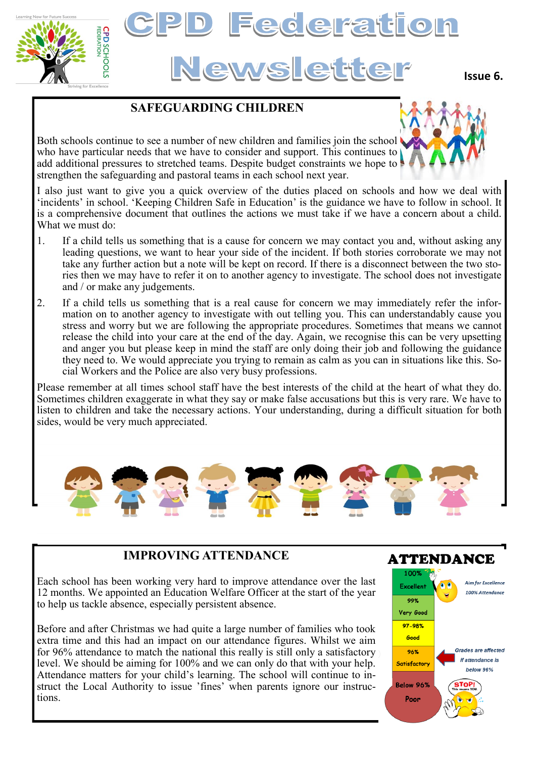

# Federation News ette

**Issue 6.**

# **SAFEGUARDING CHILDREN**

Both schools continue to see a number of new children and families join the school who have particular needs that we have to consider and support. This continues to add additional pressures to stretched teams. Despite budget constraints we hope to strengthen the safeguarding and pastoral teams in each school next year.

I also just want to give you a quick overview of the duties placed on schools and how we deal with 'incidents' in school. 'Keeping Children Safe in Education' is the guidance we have to follow in school. It is a comprehensive document that outlines the actions we must take if we have a concern about a child. What we must do:

- 1. If a child tells us something that is a cause for concern we may contact you and, without asking any leading questions, we want to hear your side of the incident. If both stories corroborate we may not take any further action but a note will be kept on record. If there is a disconnect between the two stories then we may have to refer it on to another agency to investigate. The school does not investigate and / or make any judgements.
- 2. If a child tells us something that is a real cause for concern we may immediately refer the information on to another agency to investigate with out telling you. This can understandably cause you stress and worry but we are following the appropriate procedures. Sometimes that means we cannot release the child into your care at the end of the day. Again, we recognise this can be very upsetting and anger you but please keep in mind the staff are only doing their job and following the guidance they need to. We would appreciate you trying to remain as calm as you can in situations like this. Social Workers and the Police are also very busy professions.

Please remember at all times school staff have the best interests of the child at the heart of what they do. Sometimes children exaggerate in what they say or make false accusations but this is very rare. We have to listen to children and take the necessary actions. Your understanding, during a difficult situation for both sides, would be very much appreciated.



## **IMPROVING ATTENDANCE**

Each school has been working very hard to improve attendance over the last 12 months. We appointed an Education Welfare Officer at the start of the year to help us tackle absence, especially persistent absence.

Before and after Christmas we had quite a large number of families who took extra time and this had an impact on our attendance figures. Whilst we aim for 96% attendance to match the national this really is still only a satisfactory level. We should be aiming for 100% and we can only do that with your help. Attendance matters for your child's learning. The school will continue to instruct the Local Authority to issue 'fines' when parents ignore our instructions.